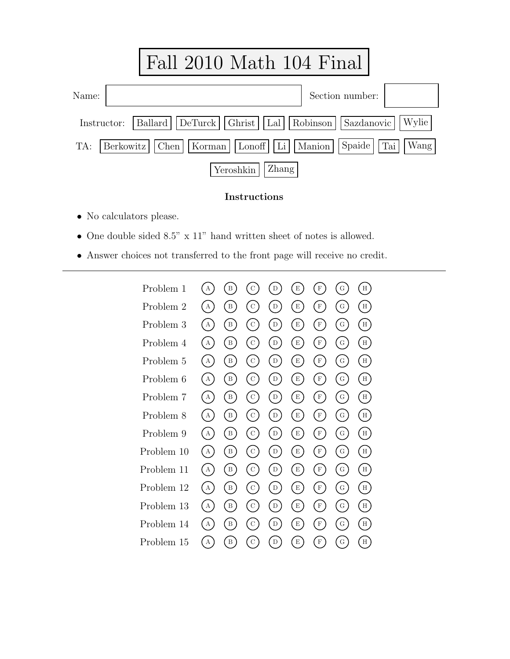

## Instructions

- *•* No calculators please.
- *•* One double sided 8.5" x 11" hand written sheet of notes is allowed.
- *•* Answer choices not transferred to the front page will receive no credit.

| Problem 1  | А            | B               | $\mathrm{C}$                | D           | E                                               | F                     | ${\rm G}$                                       | H     |
|------------|--------------|-----------------|-----------------------------|-------------|-------------------------------------------------|-----------------------|-------------------------------------------------|-------|
| Problem 2  | A            | B               | $\mathcal{C}$               | D           | $E$ )                                           | F)                    | $\mathcal{G}$                                   | H     |
| Problem 3  | A            | B               | $\circ$ )                   | D           | E                                               | F)                    | $\rm G$                                         | Н     |
| Problem 4  | $\bf{A}$     | $\mathbf{B}$    | $\rm_{C}$ )                 | D           | E                                               | $F$ )                 | $\rm G$                                         | H     |
| Problem 5  | A            | $\mathbf{B}$    | $\circ$ )                   | $\mathbf D$ | E                                               | F)                    | $\rm G$                                         | H     |
| Problem 6  | $\mathbf{A}$ | $\vert B \vert$ | $\circ$ )                   | D           | E                                               | $\lbrack$ F $\rbrack$ | $\left( \begin{array}{c} G \end{array} \right)$ | H     |
| Problem 7  | $\mathbf{A}$ | $\mathbf{B}$    | $\circ$ )                   | D)          | E                                               | $\vert F \vert$       | $\rm G$                                         | H     |
| Problem 8  | A            | $\vert B \vert$ | $\left( \mathrm{c}\right)$  | D           | E                                               | $\left( F\right)$     | $\mathcal{G}$                                   | H     |
| Problem 9  | $\mathbf{A}$ | $\mathbf{B}$    | $\circ$ )                   | D           | E                                               | $\lceil F \rceil$     | G)                                              | H     |
| Problem 10 | A            | B)              | $\left( \mathrm{c}\right)$  | (D)         | E                                               | (F)                   | $\left( G\right)$                               | H     |
| Problem 11 | A            | $\vert B \vert$ | $\left( \mathrm{C} \right)$ | D           | E                                               | $(\hbox{ F})$         | G)                                              | $H$ ) |
| Problem 12 | A            | $\vert B \vert$ | $\left( \mathrm{c}\right)$  | D           | $\left( \begin{array}{c} E \end{array} \right)$ | (F)                   | $\left( G\right)$                               | $H$ ) |
| Problem 13 | A            | B               | $\rm C$                     | D           | E)                                              | $\mathbf{F}$          | $\rm G$                                         | H     |
| Problem 14 | $\mathbf{A}$ | $\vert B \vert$ | $\circ$ )                   | D           | $E$ )                                           | $\lceil F \rceil$     | G)                                              | H     |
| Problem 15 | А            | B               | $\mathbf C$                 | D           | E                                               | $\mathbf F$           | ${\rm G}$                                       | H     |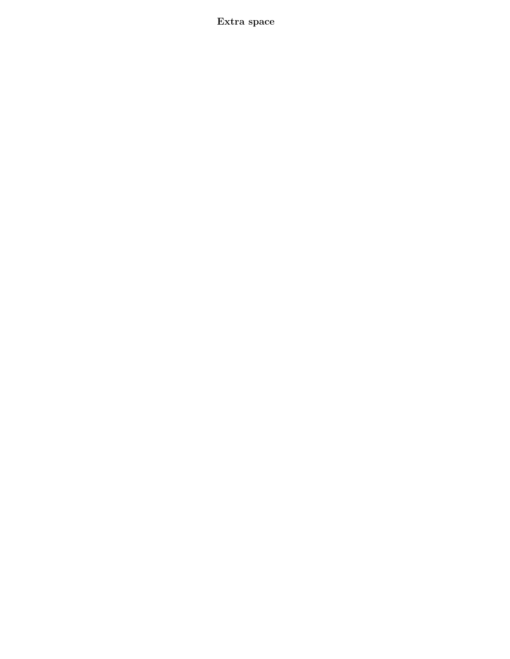Extra space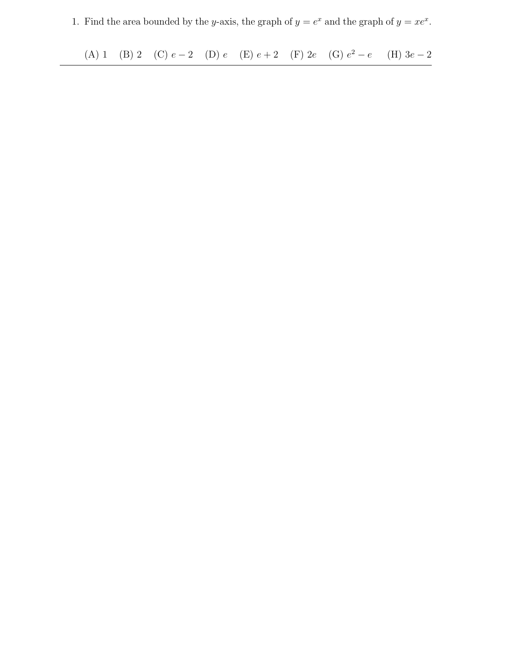1. Find the area bounded by the y-axis, the graph of  $y = e^x$  and the graph of  $y = xe^x$ .

(A) 1 (B) 2 (C)  $e-2$  (D)  $e$  (E)  $e+2$  (F)  $2e$  (G)  $e^2-e$  (H)  $3e-2$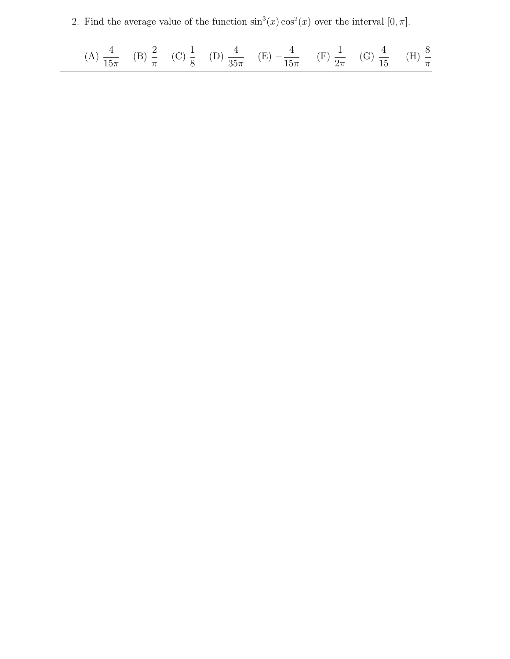2. Find the average value of the function  $\sin^3(x) \cos^2(x)$  over the interval  $[0, \pi]$ .

(A) 
$$
\frac{4}{15\pi}
$$
 (B)  $\frac{2}{\pi}$  (C)  $\frac{1}{8}$  (D)  $\frac{4}{35\pi}$  (E)  $-\frac{4}{15\pi}$  (F)  $\frac{1}{2\pi}$  (G)  $\frac{4}{15}$  (H)  $\frac{8}{\pi}$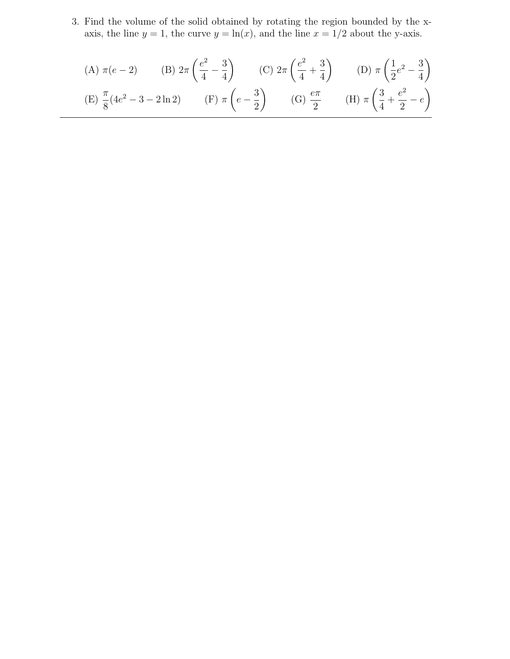3. Find the volume of the solid obtained by rotating the region bounded by the xaxis, the line  $y = 1$ , the curve  $y = \ln(x)$ , and the line  $x = 1/2$  about the y-axis.

(A) 
$$
\pi(e-2)
$$
 (B)  $2\pi \left(\frac{e^2}{4} - \frac{3}{4}\right)$  (C)  $2\pi \left(\frac{e^2}{4} + \frac{3}{4}\right)$  (D)  $\pi \left(\frac{1}{2}e^2 - \frac{3}{4}\right)$   
\n(E)  $\frac{\pi}{8}(4e^2 - 3 - 2\ln 2)$  (F)  $\pi \left(e - \frac{3}{2}\right)$  (G)  $\frac{e\pi}{2}$  (H)  $\pi \left(\frac{3}{4} + \frac{e^2}{2} - e\right)$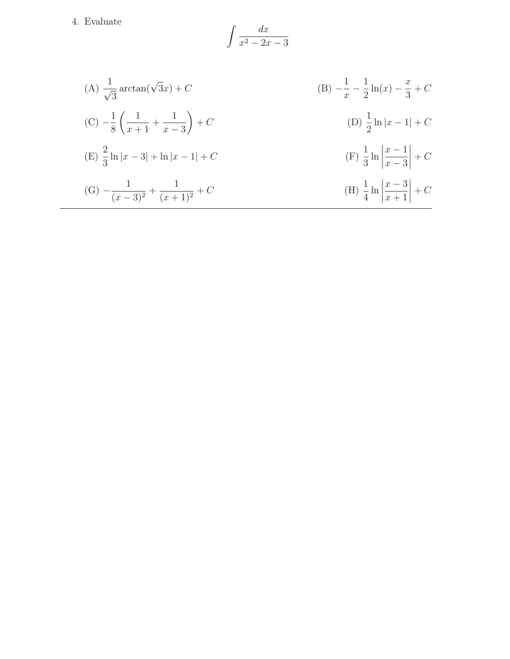4. Evaluate

$$
\int \frac{dx}{x^2 - 2x - 3}
$$

(A) 
$$
\frac{1}{\sqrt{3}} \arctan(\sqrt{3}x) + C
$$
  
\n(B)  $-\frac{1}{x} - \frac{1}{2} \ln(x) - \frac{x}{3} + C$   
\n(C)  $-\frac{1}{8} \left( \frac{1}{x+1} + \frac{1}{x-3} \right) + C$   
\n(D)  $\frac{1}{2} \ln|x-1| + C$   
\n(E)  $\frac{2}{3} \ln|x-3| + \ln|x-1| + C$   
\n(F)  $\frac{1}{3} \ln \left| \frac{x-1}{x-3} \right| + C$   
\n(G)  $-\frac{1}{(x-3)^2} + \frac{1}{(x+1)^2} + C$   
\n(H)  $\frac{1}{4} \ln \left| \frac{x-3}{x+1} \right| + C$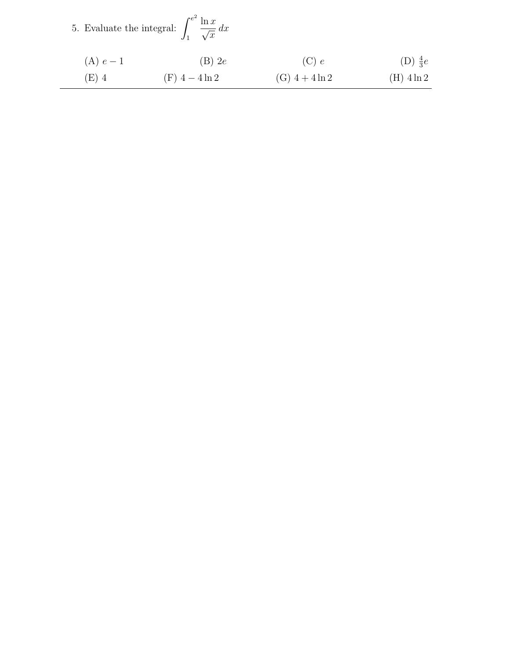|  | 5. Evaluate the integral: $\int_{-\infty}^{e^2} \frac{\ln x}{e} dx$ |  |  | $\overline{\sqrt{x}}$ |
|--|---------------------------------------------------------------------|--|--|-----------------------|
|--|---------------------------------------------------------------------|--|--|-----------------------|

| (A) $e-1$ | $(B)$ 2e            | (C) e               | (D) $\frac{4}{3}e$ |
|-----------|---------------------|---------------------|--------------------|
| (E) 4     | $(F)$ 4 - 4 $\ln 2$ | $(G)$ 4 + 4 $\ln 2$ | $(H)$ 4 $\ln 2$    |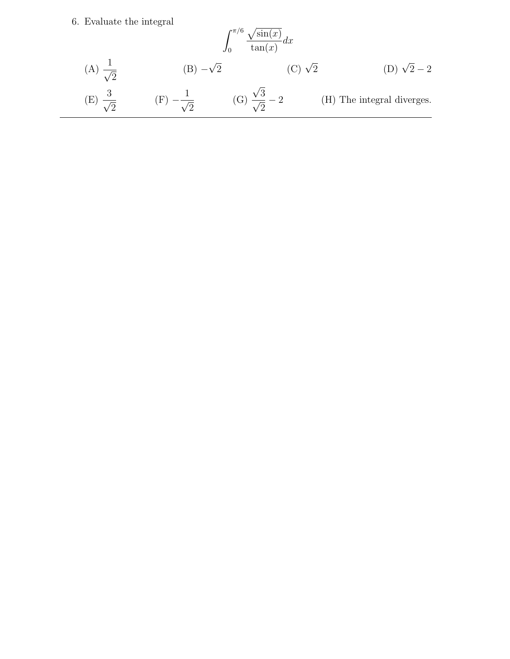## 6. Evaluate the integral

$$
\int_0^{\pi/6} \frac{\sqrt{\sin(x)}}{\tan(x)} dx
$$
\n(A)  $\frac{1}{\sqrt{2}}$ \n(B)  $-\sqrt{2}$ \n(C)  $\sqrt{2}$ \n(D)  $\sqrt{2} - 2$ \n(E)  $\frac{3}{\sqrt{2}}$ \n(F)  $-\frac{1}{\sqrt{2}}$ \n(G)  $\frac{\sqrt{3}}{\sqrt{2}} - 2$ \n(H) The integral diverges.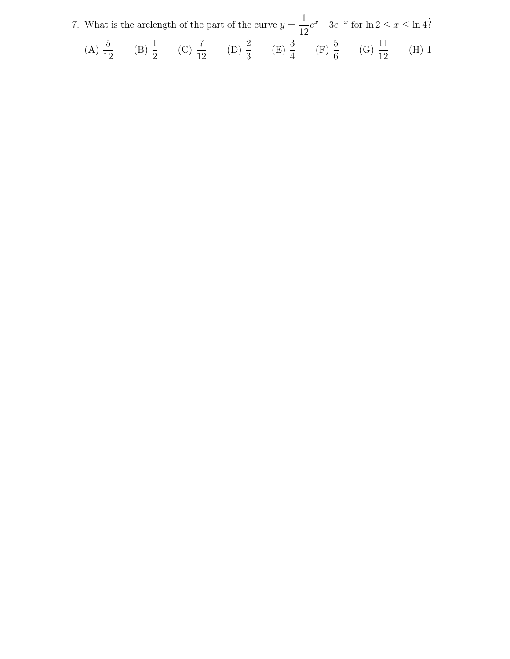| 7. What is the arclength of the part of the curve $y = \frac{1}{12}e^x + 3e^{-x}$ for $\ln 2 \le x \le \ln 4$ ?                         |  |  |  |  |
|-----------------------------------------------------------------------------------------------------------------------------------------|--|--|--|--|
| (A) $\frac{5}{12}$ (B) $\frac{1}{2}$ (C) $\frac{7}{12}$ (D) $\frac{2}{3}$ (E) $\frac{3}{4}$ (F) $\frac{5}{6}$ (G) $\frac{11}{12}$ (H) 1 |  |  |  |  |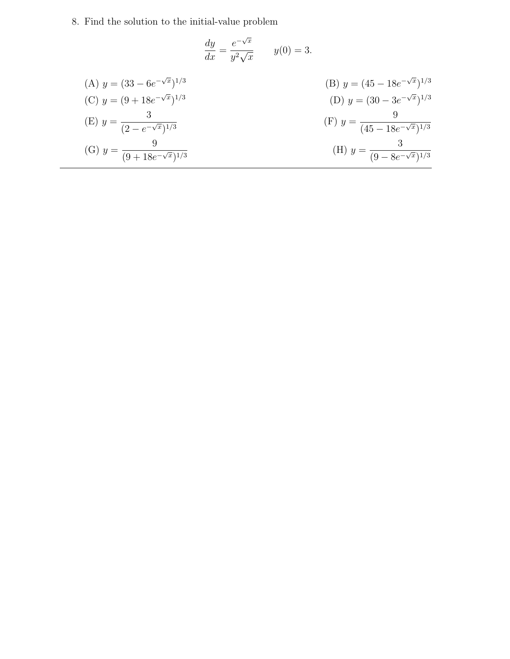8. Find the solution to the initial-value problem

$$
\frac{dy}{dx} = \frac{e^{-\sqrt{x}}}{y^2\sqrt{x}} \qquad y(0) = 3.
$$

| (A) $y = (33 - 6e^{-\sqrt{x}})^{1/3}$           | (B) $y = (45 - 18e^{-\sqrt{x}})^{1/3}$           |
|-------------------------------------------------|--------------------------------------------------|
| (C) $y = (9 + 18e^{-\sqrt{x}})^{1/3}$           | (D) $y = (30 - 3e^{-\sqrt{x}})^{1/3}$            |
| (E) $y = \frac{1}{(2 - e^{-\sqrt{x}})^{1/3}}$   | (F) $y = \frac{1}{(45 - 18e^{-\sqrt{x}})^{1/3}}$ |
| (G) $y = \frac{6}{(9 + 18e^{-\sqrt{x}})^{1/3}}$ | (H) $y = \frac{3}{(9 - 8e^{-\sqrt{x}})^{1/3}}$   |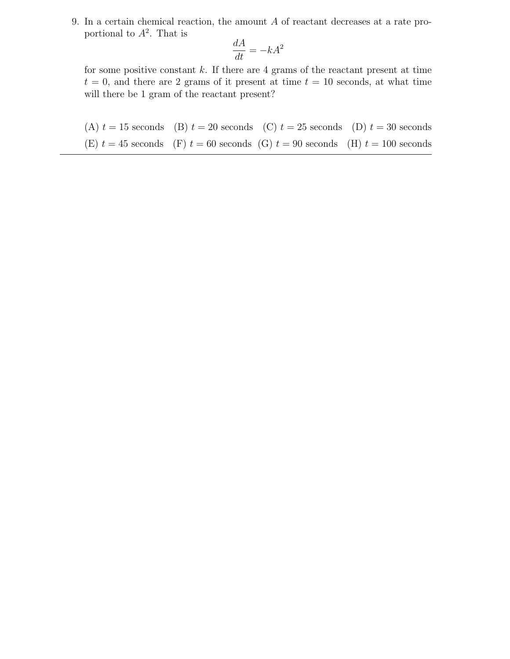9. In a certain chemical reaction, the amount A of reactant decreases at a rate proportional to  $A^2$ . That is

$$
\frac{dA}{dt} = -kA^2
$$

for some positive constant  $k$ . If there are 4 grams of the reactant present at time  $t = 0$ , and there are 2 grams of it present at time  $t = 10$  seconds, at what time will there be 1 gram of the reactant present?

(A)  $t = 15$  seconds (B)  $t = 20$  seconds (C)  $t = 25$  seconds (D)  $t = 30$  seconds (E)  $t = 45$  seconds (F)  $t = 60$  seconds (G)  $t = 90$  seconds (H)  $t = 100$  seconds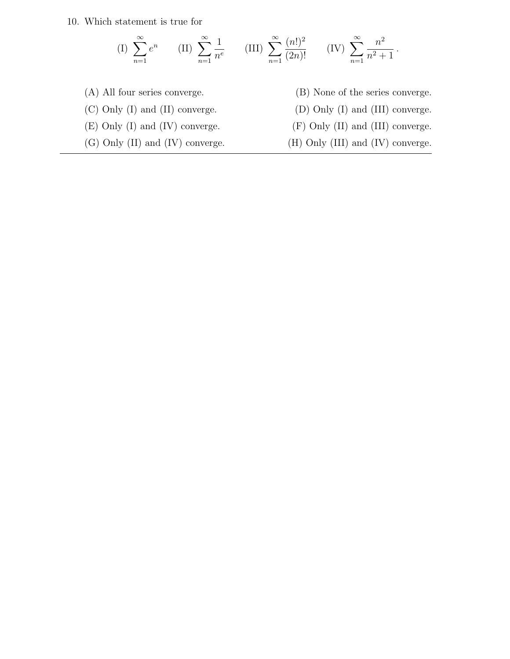10. Which statement is true for

(I) 
$$
\sum_{n=1}^{\infty} e^n
$$
 (II)  $\sum_{n=1}^{\infty} \frac{1}{n^e}$  (III)  $\sum_{n=1}^{\infty} \frac{(n!)^2}{(2n)!}$  (IV)  $\sum_{n=1}^{\infty} \frac{n^2}{n^2+1}$ .

- (A) All four series converge. (B) None of the series converge. (C) Only (I) and (II) converge. (D) Only (I) and (III) converge. (E) Only (I) and (IV) converge. (F) Only (II) and (III) converge.
- 
- 
- (G) Only (II) and (IV) converge. (H) Only (III) and (IV) converge.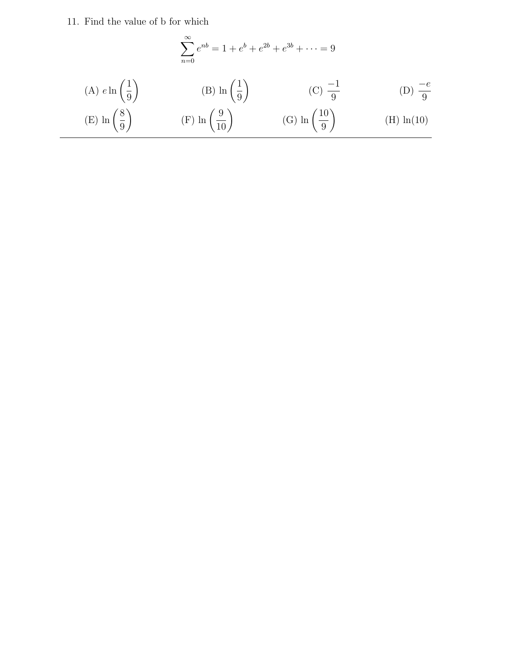11. Find the value of b for which

(A) 
$$
e \ln\left(\frac{1}{9}\right)
$$
 (B)  $\ln\left(\frac{1}{9}\right)$  (C)  $\frac{-1}{9}$  (D)  $\frac{-e}{9}$   
(E)  $\ln\left(\frac{8}{9}\right)$  (F)  $\ln\left(\frac{9}{10}\right)$  (G)  $\ln\left(\frac{10}{9}\right)$  (H)  $\ln(10)$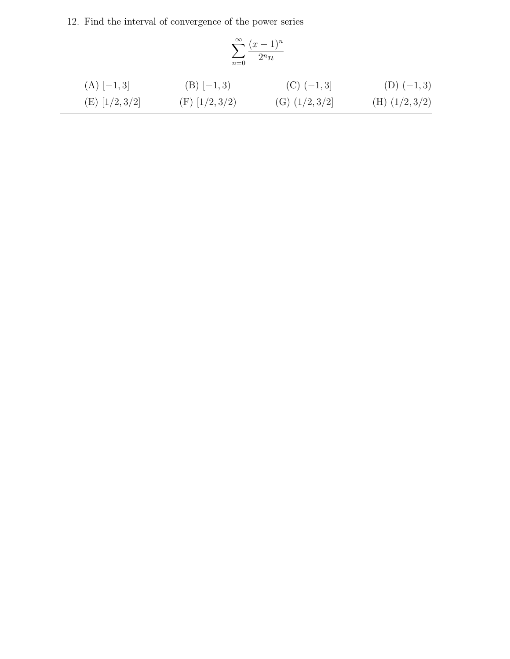12. Find the interval of convergence of the power series

$$
\sum_{n=0}^{\infty} \frac{(x-1)^n}{2^n n}
$$

(A) 
$$
[-1,3]
$$
  
\n(B)  $[-1,3)$   
\n(C)  $(-1,3]$   
\n(D)  $(-1,3)$   
\n(E)  $[1/2,3/2]$   
\n(F)  $[1/2,3/2)$   
\n(G)  $(1/2,3/2)$   
\n(H)  $(1/2,3/2)$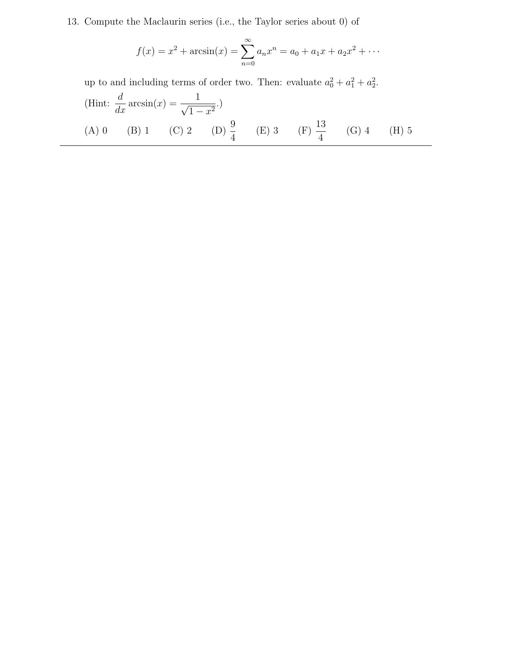13. Compute the Maclaurin series (i.e., the Taylor series about 0) of

$$
f(x) = x2 + \arcsin(x) = \sum_{n=0}^{\infty} a_n x^n = a_0 + a_1 x + a_2 x^2 + \cdots
$$

up to and including terms of order two. Then: evaluate  $a_0^2 + a_1^2 + a_2^2$ .

(Hint: 
$$
\frac{d}{dx} \arcsin(x) = \frac{1}{\sqrt{1 - x^2}}
$$
.)  
\n(A) 0 (B) 1 (C) 2 (D)  $\frac{9}{4}$  (E) 3 (F)  $\frac{13}{4}$  (G) 4 (H) 5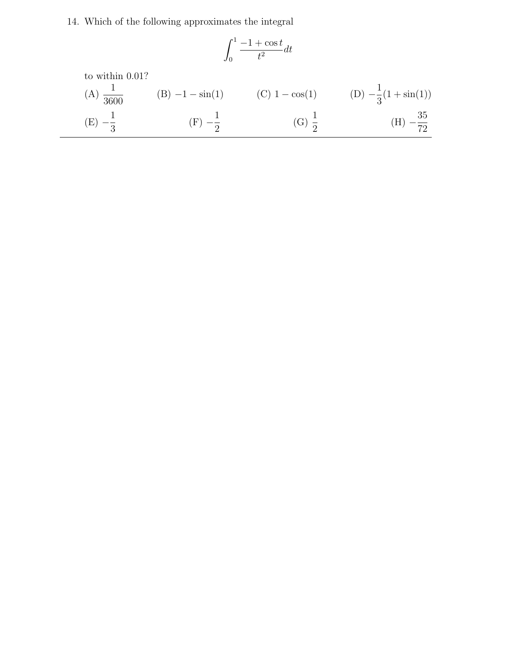14. Which of the following approximates the integral

$$
\int_0^1 \frac{-1 + \cos t}{t^2} dt
$$

to within 0.01?

(A) 
$$
\frac{1}{3600}
$$
 (B)  $-1 - \sin(1)$  (C)  $1 - \cos(1)$  (D)  $-\frac{1}{3}(1 + \sin(1))$   
\n(E)  $-\frac{1}{3}$  (F)  $-\frac{1}{2}$  (G)  $\frac{1}{2}$  (H)  $-\frac{35}{72}$